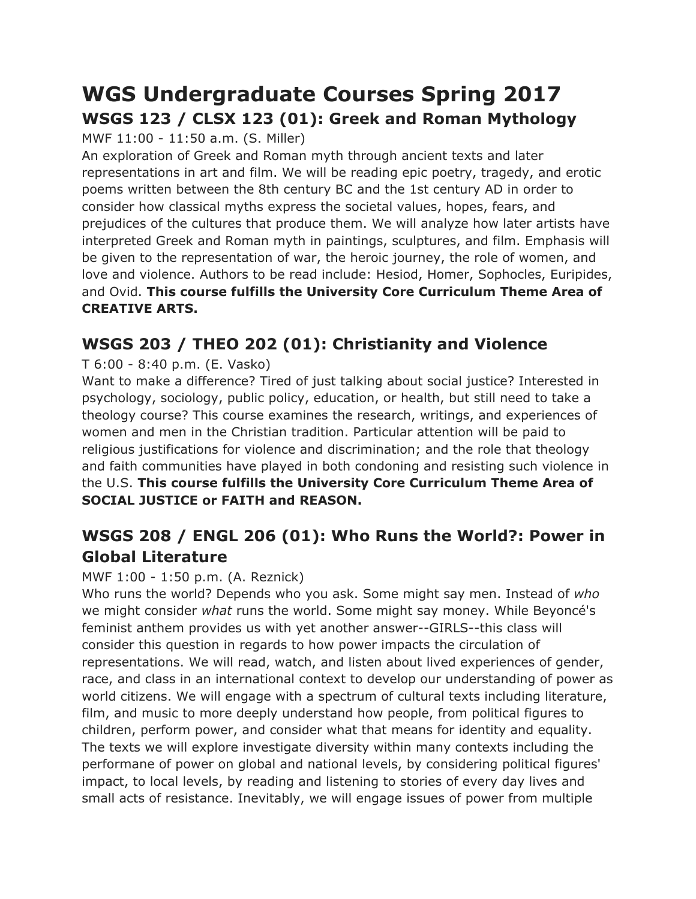# **WGS Undergraduate Courses Spring 2017 WSGS 123 / CLSX 123 (01): Greek and Roman Mythology**

MWF 11:00 - 11:50 a.m. (S. Miller)

An exploration of Greek and Roman myth through ancient texts and later representations in art and film. We will be reading epic poetry, tragedy, and erotic poems written between the 8th century BC and the 1st century AD in order to consider how classical myths express the societal values, hopes, fears, and prejudices of the cultures that produce them. We will analyze how later artists have interpreted Greek and Roman myth in paintings, sculptures, and film. Emphasis will be given to the representation of war, the heroic journey, the role of women, and love and violence. Authors to be read include: Hesiod, Homer, Sophocles, Euripides, and Ovid. **This course fulfills the University Core Curriculum Theme Area of CREATIVE ARTS.**

## **WSGS 203 / THEO 202 (01): Christianity and Violence**

T 6:00 - 8:40 p.m. (E. Vasko)

Want to make a difference? Tired of just talking about social justice? Interested in psychology, sociology, public policy, education, or health, but still need to take a theology course? This course examines the research, writings, and experiences of women and men in the Christian tradition. Particular attention will be paid to religious justifications for violence and discrimination; and the role that theology and faith communities have played in both condoning and resisting such violence in the U.S. **This course fulfills the University Core Curriculum Theme Area of SOCIAL JUSTICE or FAITH and REASON.**

## **WSGS 208 / ENGL 206 (01): Who Runs the World?: Power in Global Literature**

### MWF 1:00 - 1:50 p.m. (A. Reznick)

Who runs the world? Depends who you ask. Some might say men. Instead of *who* we might consider *what* runs the world. Some might say money. While Beyoncé's feminist anthem provides us with yet another answer--GIRLS--this class will consider this question in regards to how power impacts the circulation of representations. We will read, watch, and listen about lived experiences of gender, race, and class in an international context to develop our understanding of power as world citizens. We will engage with a spectrum of cultural texts including literature, film, and music to more deeply understand how people, from political figures to children, perform power, and consider what that means for identity and equality. The texts we will explore investigate diversity within many contexts including the performane of power on global and national levels, by considering political figures' impact, to local levels, by reading and listening to stories of every day lives and small acts of resistance. Inevitably, we will engage issues of power from multiple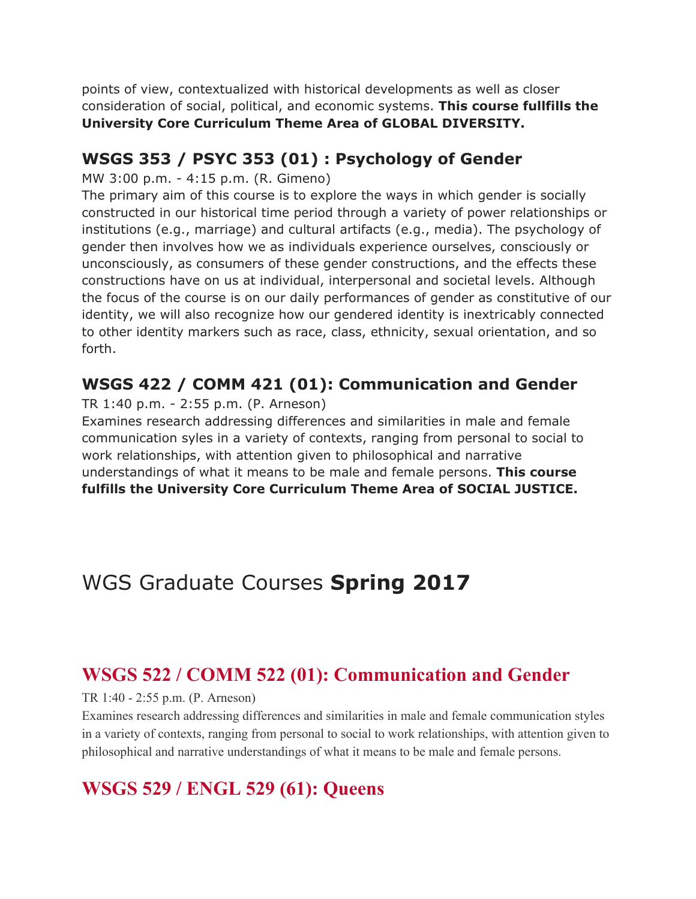points of view, contextualized with historical developments as well as closer consideration of social, political, and economic systems. **This course fullfills the University Core Curriculum Theme Area of GLOBAL DIVERSITY.**

### **WSGS 353 / PSYC 353 (01) : Psychology of Gender**

MW 3:00 p.m. - 4:15 p.m. (R. Gimeno)

The primary aim of this course is to explore the ways in which gender is socially constructed in our historical time period through a variety of power relationships or institutions (e.g., marriage) and cultural artifacts (e.g., media). The psychology of gender then involves how we as individuals experience ourselves, consciously or unconsciously, as consumers of these gender constructions, and the effects these constructions have on us at individual, interpersonal and societal levels. Although the focus of the course is on our daily performances of gender as constitutive of our identity, we will also recognize how our gendered identity is inextricably connected to other identity markers such as race, class, ethnicity, sexual orientation, and so forth.

### **WSGS 422 / COMM 421 (01): Communication and Gender**

TR 1:40 p.m. - 2:55 p.m. (P. Arneson)

Examines research addressing differences and similarities in male and female communication syles in a variety of contexts, ranging from personal to social to work relationships, with attention given to philosophical and narrative understandings of what it means to be male and female persons. **This course fulfills the University Core Curriculum Theme Area of SOCIAL JUSTICE.**

# WGS Graduate Courses **Spring 2017**

# **WSGS 522 / COMM 522 (01): Communication and Gender**

TR 1:40 - 2:55 p.m. (P. Arneson)

Examines research addressing differences and similarities in male and female communication styles in a variety of contexts, ranging from personal to social to work relationships, with attention given to philosophical and narrative understandings of what it means to be male and female persons.

# **WSGS 529 / ENGL 529 (61): Queens**